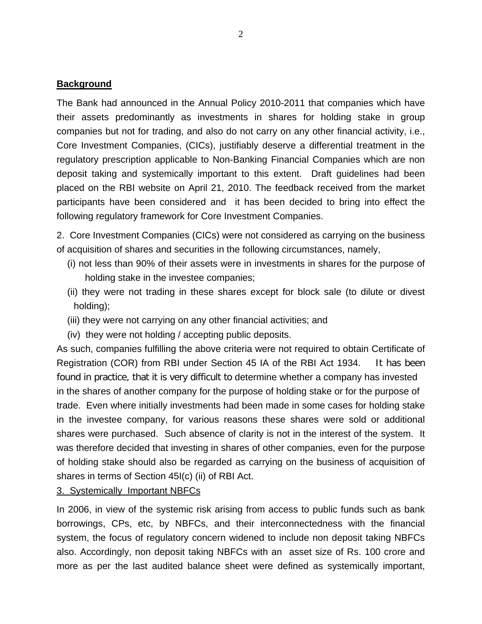### **Background**

The Bank had announced in the Annual Policy 2010-2011 that companies which have their assets predominantly as investments in shares for holding stake in group companies but not for trading, and also do not carry on any other financial activity, i.e., Core Investment Companies, (CICs), justifiably deserve a differential treatment in the regulatory prescription applicable to Non-Banking Financial Companies which are non deposit taking and systemically important to this extent. Draft guidelines had been placed on the RBI website on April 21, 2010. The feedback received from the market participants have been considered and it has been decided to bring into effect the following regulatory framework for Core Investment Companies.

2. Core Investment Companies (CICs) were not considered as carrying on the business of acquisition of shares and securities in the following circumstances, namely,

- (i) not less than 90% of their assets were in investments in shares for the purpose of holding stake in the investee companies;
- (ii) they were not trading in these shares except for block sale (to dilute or divest holding);
- (iii) they were not carrying on any other financial activities; and
- (iv) they were not holding / accepting public deposits.

As such, companies fulfilling the above criteria were not required to obtain Certificate of Registration (COR) from RBI under Section 45 IA of the RBI Act 1934. It has been found in practice, that it is very difficult to determine whether a company has invested in the shares of another company for the purpose of holding stake or for the purpose of trade. Even where initially investments had been made in some cases for holding stake in the investee company, for various reasons these shares were sold or additional shares were purchased. Such absence of clarity is not in the interest of the system. It was therefore decided that investing in shares of other companies, even for the purpose of holding stake should also be regarded as carrying on the business of acquisition of shares in terms of Section 45I(c) (ii) of RBI Act.

3. Systemically Important NBFCs

In 2006, in view of the systemic risk arising from access to public funds such as bank borrowings, CPs, etc, by NBFCs, and their interconnectedness with the financial system, the focus of regulatory concern widened to include non deposit taking NBFCs also. Accordingly, non deposit taking NBFCs with an asset size of Rs. 100 crore and more as per the last audited balance sheet were defined as systemically important,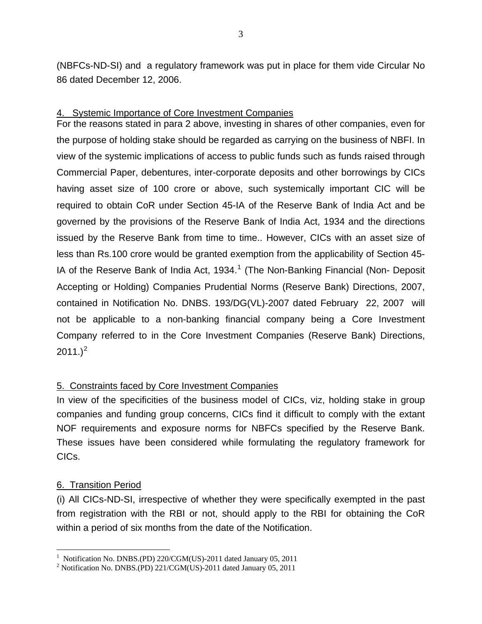(NBFCs-ND-SI) and a regulatory framework was put in place for them vide Circular No 86 dated December 12, 2006.

# 4. Systemic Importance of Core Investment Companies

For the reasons stated in para 2 above, investing in shares of other companies, even for the purpose of holding stake should be regarded as carrying on the business of NBFI. In view of the systemic implications of access to public funds such as funds raised through Commercial Paper, debentures, inter-corporate deposits and other borrowings by CICs having asset size of 100 crore or above, such systemically important CIC will be required to obtain CoR under Section 45-IA of the Reserve Bank of India Act and be governed by the provisions of the Reserve Bank of India Act, 1934 and the directions issued by the Reserve Bank from time to time.. However, CICs with an asset size of less than Rs.100 crore would be granted exemption from the applicability of Section 45- IA of the Reserve Bank of India Act, [1](#page-1-0)934.<sup>1</sup> (The Non-Banking Financial (Non- Deposit Accepting or Holding) Companies Prudential Norms (Reserve Bank) Directions, 2007, contained in Notification No. DNBS. 193/DG(VL)-2007 dated February 22, 2007 will not be applicable to a non-banking financial company being a Core Investment Company referred to in the Core Investment Companies (Reserve Bank) Directions,  $2011.$  $2011.$ ) $^{2}$ 

# 5. Constraints faced by Core Investment Companies

In view of the specificities of the business model of CICs, viz, holding stake in group companies and funding group concerns, CICs find it difficult to comply with the extant NOF requirements and exposure norms for NBFCs specified by the Reserve Bank. These issues have been considered while formulating the regulatory framework for CICs.

# 6. Transition Period

(i) All CICs-ND-SI, irrespective of whether they were specifically exempted in the past from registration with the RBI or not, should apply to the RBI for obtaining the CoR within a period of six months from the date of the Notification.

 $\overline{a}$ <sup>1</sup> Notification No. DNBS.(PD) 220/CGM(US)-2011 dated January 05, 2011

<span id="page-1-1"></span><span id="page-1-0"></span><sup>&</sup>lt;sup>2</sup> Notification No. DNBS.(PD) 221/CGM(US)-2011 dated January 05, 2011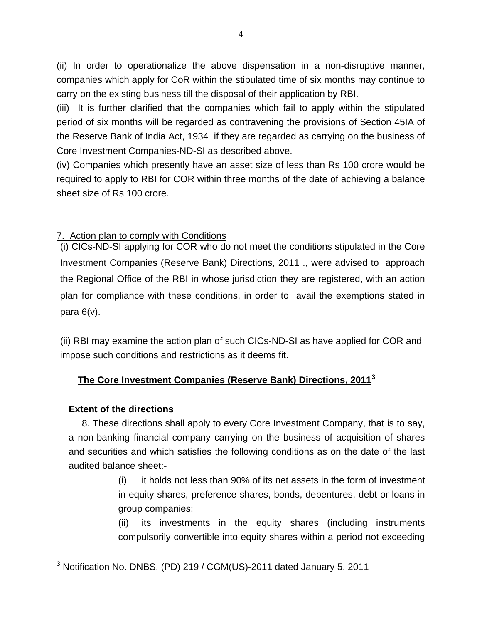(ii) In order to operationalize the above dispensation in a non-disruptive manner, companies which apply for CoR within the stipulated time of six months may continue to carry on the existing business till the disposal of their application by RBI.

(iii) It is further clarified that the companies which fail to apply within the stipulated period of six months will be regarded as contravening the provisions of Section 45IA of the Reserve Bank of India Act, 1934 if they are regarded as carrying on the business of Core Investment Companies-ND-SI as described above.

(iv) Companies which presently have an asset size of less than Rs 100 crore would be required to apply to RBI for COR within three months of the date of achieving a balance sheet size of Rs 100 crore.

# 7. Action plan to comply with Conditions

(i) CICs-ND-SI applying for COR who do not meet the conditions stipulated in the Core Investment Companies (Reserve Bank) Directions, 2011 ., were advised to approach the Regional Office of the RBI in whose jurisdiction they are registered, with an action plan for compliance with these conditions, in order to avail the exemptions stated in para 6(v).

(ii) RBI may examine the action plan of such CICs-ND-SI as have applied for COR and impose such conditions and restrictions as it deems fit.

# **The Core Investment Companies (Reserve Bank) Directions, 2011[3](#page-2-0)**

### **Extent of the directions**

 8. These directions shall apply to every Core Investment Company, that is to say, a non-banking financial company carrying on the business of acquisition of shares and securities and which satisfies the following conditions as on the date of the last audited balance sheet:-

> (i) it holds not less than 90% of its net assets in the form of investment in equity shares, preference shares, bonds, debentures, debt or loans in group companies;

> (ii) its investments in the equity shares (including instruments compulsorily convertible into equity shares within a period not exceeding

<span id="page-2-0"></span> 3 Notification No. DNBS. (PD) 219 / CGM(US)-2011 dated January 5, 2011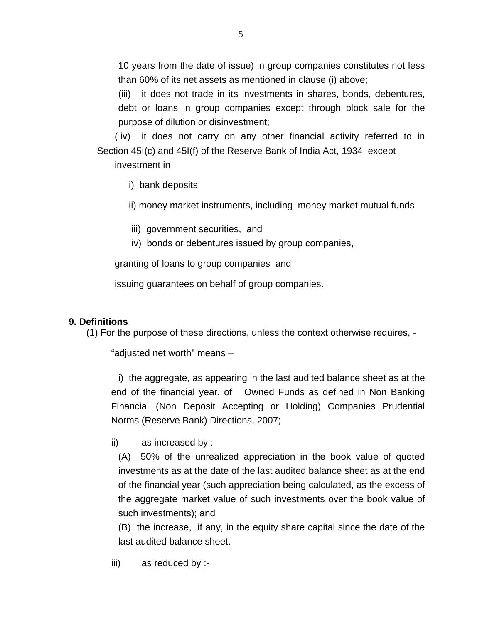10 years from the date of issue) in group companies constitutes not less than 60% of its net assets as mentioned in clause (i) above;

 (iii) it does not trade in its investments in shares, bonds, debentures, debt or loans in group companies except through block sale for the purpose of dilution or disinvestment;

( iv) it does not carry on any other financial activity referred to in Section 45I(c) and 45I(f) of the Reserve Bank of India Act, 1934 except

investment in

i) bank deposits,

ii) money market instruments, including money market mutual funds

- iii) government securities, and
- iv) bonds or debentures issued by group companies,

granting of loans to group companies and

issuing guarantees on behalf of group companies.

# **9. Definitions**

(1) For the purpose of these directions, unless the context otherwise requires, -

"adjusted net worth" means –

i) the aggregate, as appearing in the last audited balance sheet as at the end of the financial year, of Owned Funds as defined in Non Banking Financial (Non Deposit Accepting or Holding) Companies Prudential Norms (Reserve Bank) Directions, 2007;

ii) as increased by :-

 (A) 50% of the unrealized appreciation in the book value of quoted investments as at the date of the last audited balance sheet as at the end of the financial year (such appreciation being calculated, as the excess of the aggregate market value of such investments over the book value of such investments); and

 (B) the increase, if any, in the equity share capital since the date of the last audited balance sheet.

iii) as reduced by :-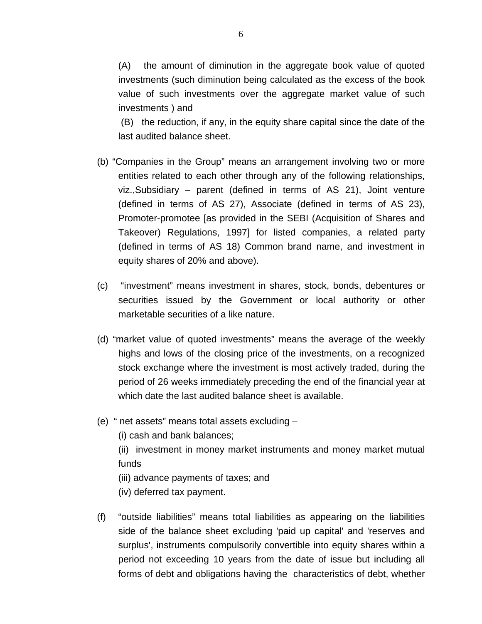(A) the amount of diminution in the aggregate book value of quoted investments (such diminution being calculated as the excess of the book value of such investments over the aggregate market value of such investments ) and

 (B) the reduction, if any, in the equity share capital since the date of the last audited balance sheet.

- (b) "Companies in the Group" means an arrangement involving two or more entities related to each other through any of the following relationships, viz.,Subsidiary – parent (defined in terms of AS 21), Joint venture (defined in terms of AS 27), Associate (defined in terms of AS 23), Promoter-promotee [as provided in the SEBI (Acquisition of Shares and Takeover) Regulations, 1997] for listed companies, a related party (defined in terms of AS 18) Common brand name, and investment in equity shares of 20% and above).
- (c) "investment" means investment in shares, stock, bonds, debentures or securities issued by the Government or local authority or other marketable securities of a like nature.
- (d) "market value of quoted investments" means the average of the weekly highs and lows of the closing price of the investments, on a recognized stock exchange where the investment is most actively traded, during the period of 26 weeks immediately preceding the end of the financial year at which date the last audited balance sheet is available.
- (e) " net assets" means total assets excluding
	- (i) cash and bank balances;
	- (ii) investment in money market instruments and money market mutual funds
	- (iii) advance payments of taxes; and
	- (iv) deferred tax payment.
- (f) "outside liabilities" means total liabilities as appearing on the liabilities side of the balance sheet excluding 'paid up capital' and 'reserves and surplus', instruments compulsorily convertible into equity shares within a period not exceeding 10 years from the date of issue but including all forms of debt and obligations having the characteristics of debt, whether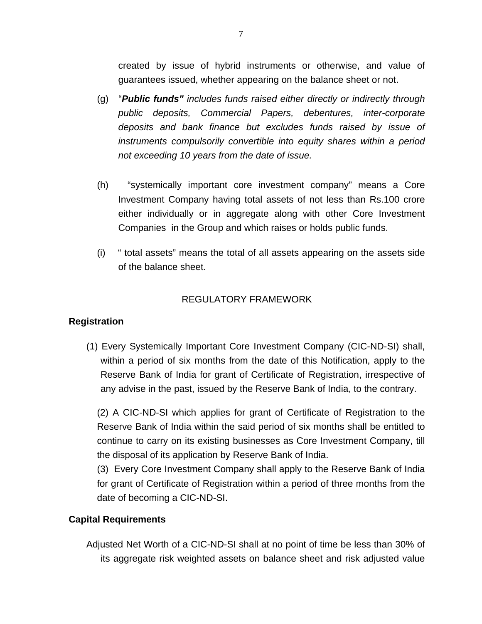created by issue of hybrid instruments or otherwise, and value of guarantees issued, whether appearing on the balance sheet or not.

- (g) "*Public funds" includes funds raised either directly or indirectly through public deposits, Commercial Papers, debentures, inter-corporate deposits and bank finance but excludes funds raised by issue of instruments compulsorily convertible into equity shares within a period not exceeding 10 years from the date of issue.*
- (h) "systemically important core investment company" means a Core Investment Company having total assets of not less than Rs.100 crore either individually or in aggregate along with other Core Investment Companies in the Group and which raises or holds public funds.
- (i) " total assets" means the total of all assets appearing on the assets side of the balance sheet.

# REGULATORY FRAMEWORK

### **Registration**

(1) Every Systemically Important Core Investment Company (CIC-ND-SI) shall, within a period of six months from the date of this Notification, apply to the Reserve Bank of India for grant of Certificate of Registration, irrespective of any advise in the past, issued by the Reserve Bank of India, to the contrary.

(2) A CIC-ND-SI which applies for grant of Certificate of Registration to the Reserve Bank of India within the said period of six months shall be entitled to continue to carry on its existing businesses as Core Investment Company, till the disposal of its application by Reserve Bank of India.

(3) Every Core Investment Company shall apply to the Reserve Bank of India for grant of Certificate of Registration within a period of three months from the date of becoming a CIC-ND-SI.

### **Capital Requirements**

Adjusted Net Worth of a CIC-ND-SI shall at no point of time be less than 30% of its aggregate risk weighted assets on balance sheet and risk adjusted value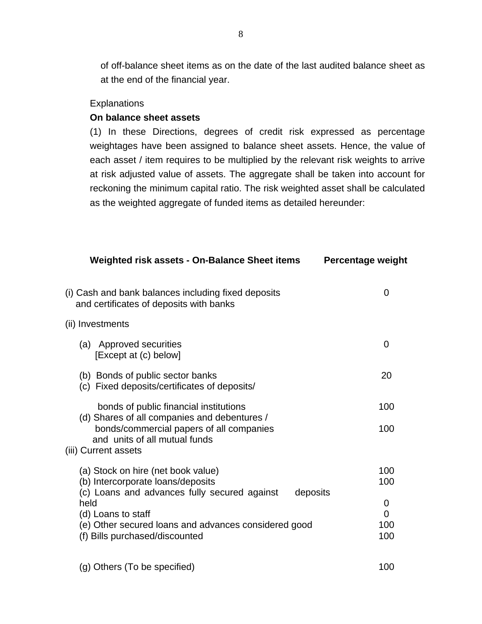of off-balance sheet items as on the date of the last audited balance sheet as at the end of the financial year.

#### Explanations

#### **On balance sheet assets**

(1) In these Directions, degrees of credit risk expressed as percentage weightages have been assigned to balance sheet assets. Hence, the value of each asset / item requires to be multiplied by the relevant risk weights to arrive at risk adjusted value of assets. The aggregate shall be taken into account for reckoning the minimum capital ratio. The risk weighted asset shall be calculated as the weighted aggregate of funded items as detailed hereunder:

| Weighted risk assets - On-Balance Sheet items                                                                                                                                                                         | Percentage weight           |
|-----------------------------------------------------------------------------------------------------------------------------------------------------------------------------------------------------------------------|-----------------------------|
| (i) Cash and bank balances including fixed deposits<br>and certificates of deposits with banks                                                                                                                        | 0                           |
| (ii) Investments                                                                                                                                                                                                      |                             |
| (a) Approved securities<br>[Except at (c) below]                                                                                                                                                                      | 0                           |
| (b) Bonds of public sector banks<br>(c) Fixed deposits/certificates of deposits/                                                                                                                                      | 20                          |
| bonds of public financial institutions<br>(d) Shares of all companies and debentures /                                                                                                                                | 100                         |
| bonds/commercial papers of all companies<br>and units of all mutual funds<br>(iii) Current assets                                                                                                                     | 100                         |
| (a) Stock on hire (net book value)                                                                                                                                                                                    | 100                         |
| (b) Intercorporate loans/deposits<br>(c) Loans and advances fully secured against<br>deposits<br>held<br>(d) Loans to staff<br>(e) Other secured loans and advances considered good<br>(f) Bills purchased/discounted | 100<br>0<br>0<br>100<br>100 |
|                                                                                                                                                                                                                       |                             |

(g) Others (To be specified) 100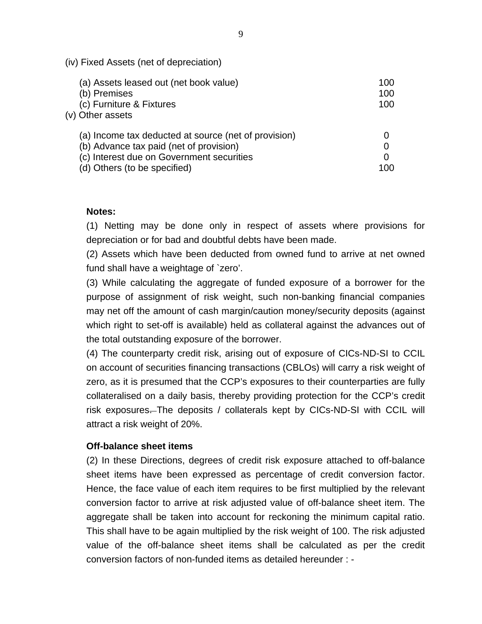| (IV) Fixed Assets (net of depreciation)              |     |
|------------------------------------------------------|-----|
| (a) Assets leased out (net book value)               | 100 |
| (b) Premises                                         | 100 |
| (c) Furniture & Fixtures                             | 100 |
| (v) Other assets                                     |     |
| (a) Income tax deducted at source (net of provision) |     |
| (b) Advance tax paid (net of provision)              | 0   |
| (c) Interest due on Government securities            | 0   |
| (d) Others (to be specified)                         | 100 |

#### **Notes:**

(iv) Fixed Assets (net of depreciation)

(1) Netting may be done only in respect of assets where provisions for depreciation or for bad and doubtful debts have been made.

(2) Assets which have been deducted from owned fund to arrive at net owned fund shall have a weightage of `zero'.

(3) While calculating the aggregate of funded exposure of a borrower for the purpose of assignment of risk weight, such non-banking financial companies may net off the amount of cash margin/caution money/security deposits (against which right to set-off is available) held as collateral against the advances out of the total outstanding exposure of the borrower.

(4) The counterparty credit risk, arising out of exposure of CICs-ND-SI to CCIL on account of securities financing transactions (CBLOs) will carry a risk weight of zero, as it is presumed that the CCP's exposures to their counterparties are fully collateralised on a daily basis, thereby providing protection for the CCP's credit risk exposures—The deposits / collaterals kept by CICs-ND-SI with CCIL will attract a risk weight of 20%.

#### **Off-balance sheet items**

(2) In these Directions, degrees of credit risk exposure attached to off-balance sheet items have been expressed as percentage of credit conversion factor. Hence, the face value of each item requires to be first multiplied by the relevant conversion factor to arrive at risk adjusted value of off-balance sheet item. The aggregate shall be taken into account for reckoning the minimum capital ratio. This shall have to be again multiplied by the risk weight of 100. The risk adjusted value of the off-balance sheet items shall be calculated as per the credit conversion factors of non-funded items as detailed hereunder : -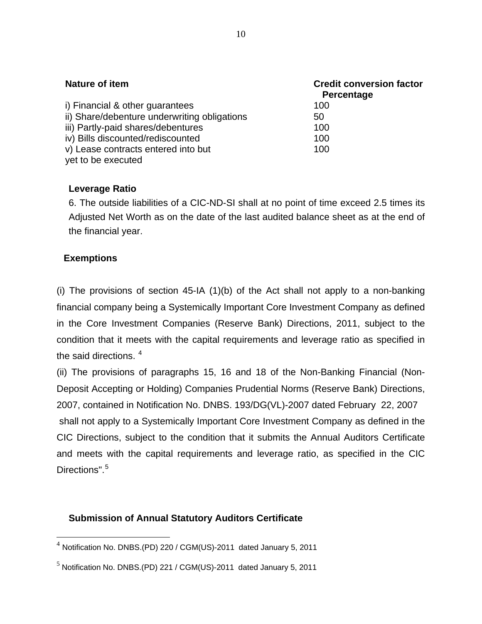| Nature of item                               | <b>Credit conversion factor</b><br>Percentage |
|----------------------------------------------|-----------------------------------------------|
| i) Financial & other guarantees              | 100                                           |
| ii) Share/debenture underwriting obligations | 50                                            |
| iii) Partly-paid shares/debentures           | 100                                           |
| iv) Bills discounted/rediscounted            | 100                                           |
| v) Lease contracts entered into but          | 100                                           |
| yet to be executed                           |                                               |

# **Leverage Ratio**

6. The outside liabilities of a CIC-ND-SI shall at no point of time exceed 2.5 times its Adjusted Net Worth as on the date of the last audited balance sheet as at the end of the financial year.

# **Exemptions**

 $\overline{a}$ 

(i) The provisions of section 45-IA (1)(b) of the Act shall not apply to a non-banking financial company being a Systemically Important Core Investment Company as defined in the Core Investment Companies (Reserve Bank) Directions, 2011, subject to the condition that it meets with the capital requirements and leverage ratio as specified in the said directions.  $4$ 

(ii) The provisions of paragraphs 15, 16 and 18 of the Non-Banking Financial (Non-Deposit Accepting or Holding) Companies Prudential Norms (Reserve Bank) Directions, 2007, contained in Notification No. DNBS. 193/DG(VL)-2007 dated February 22, 2007 shall not apply to a Systemically Important Core Investment Company as defined in the CIC Directions, subject to the condition that it submits the Annual Auditors Certificate and meets with the capital requirements and leverage ratio, as specified in the CIC Directions".<sup>[5](#page-8-1)</sup>

### **Submission of Annual Statutory Auditors Certificate**

<span id="page-8-0"></span><sup>4</sup> Notification No. DNBS.(PD) 220 / CGM(US)-2011 dated January 5, 2011

<span id="page-8-1"></span><sup>5</sup> Notification No. DNBS.(PD) 221 / CGM(US)-2011 dated January 5, 2011